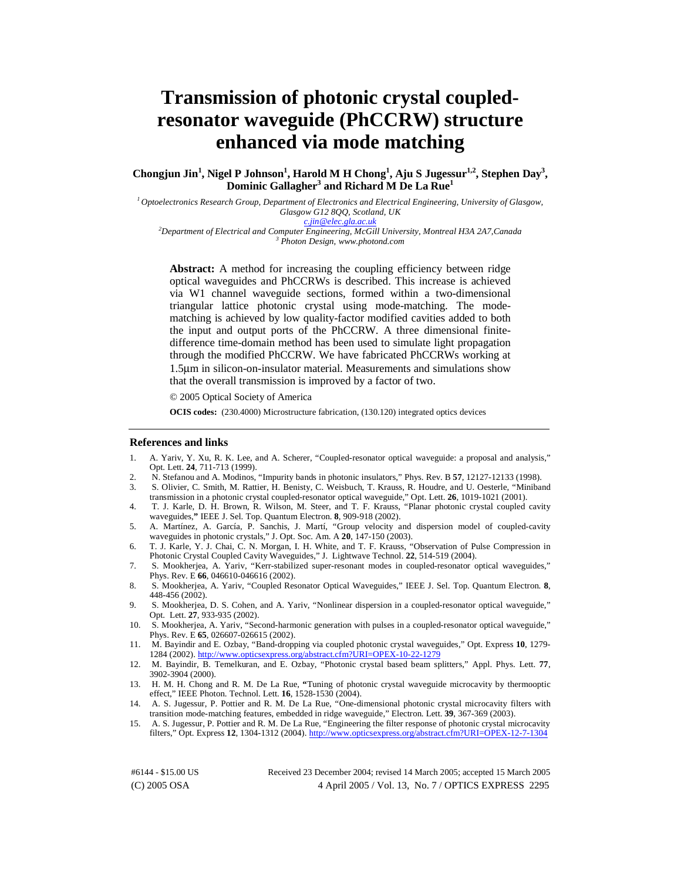# **Transmission of photonic crystal coupledresonator waveguide (PhCCRW) structure enhanced via mode matching**

Chongjun Jin<sup>1</sup>, Nigel P Johnson<sup>1</sup>, Harold M H Chong<sup>1</sup>, Aju S Jugessur<sup>1,2</sup>, Stephen Day<sup>3</sup>, **Dominic Gallagher<sup>3</sup> and Richard M De La Rue<sup>1</sup>**

*1 Optoelectronics Research Group, Department of Electronics and Electrical Engineering, University of Glasgow, Glasgow G12 8QQ, Scotland, UK* 

*[c.jin@elec.gla.ac.uk](mailto:c.jin@elec.gla.ac.uk) <sup>2</sup>*

*Department of Electrical and Computer Engineering, McGill University, Montreal H3A 2A7,Canada 3 Photon Design, www.photond.com* 

**Abstract:** A method for increasing the coupling efficiency between ridge optical waveguides and PhCCRWs is described. This increase is achieved via W1 channel waveguide sections, formed within a two-dimensional triangular lattice photonic crystal using mode-matching. The modematching is achieved by low quality-factor modified cavities added to both the input and output ports of the PhCCRW. A three dimensional finitedifference time-domain method has been used to simulate light propagation through the modified PhCCRW. We have fabricated PhCCRWs working at 1.5µm in silicon-on-insulator material. Measurements and simulations show that the overall transmission is improved by a factor of two.

© 2005 Optical Society of America

**OCIS codes:** (230.4000) Microstructure fabrication, (130.120) integrated optics devices

#### **References and links**

- 1. A. Yariv, Y. Xu, R. K. Lee, and A. Scherer, "Coupled-resonator optical waveguide: a proposal and analysis," Opt. Lett. **24**, 711-713 (1999).
- 2. N. Stefanou and A. Modinos, "Impurity bands in photonic insulators," Phys. Rev. B **57**, 12127-12133 (1998).
- 3. S. Olivier, C. Smith, M. Rattier, H. Benisty, C. Weisbuch, T. Krauss, R. Houdre, and U. Oesterle, "Miniband transmission in a photonic crystal coupled-resonator optical waveguide," Opt. Lett. **26**, 1019-1021 (2001).
- 4. T. J. Karle, D. H. Brown, R. Wilson, M. Steer, and T. F. Krauss, "Planar photonic crystal coupled cavity waveguides,**"** IEEE J. Sel. Top. Quantum Electron. **8**, 909-918 (2002).
- 5. A. Martínez, A. García, P. Sanchis, J. Martí, "Group velocity and dispersion model of coupled-cavity waveguides in photonic crystals," J. Opt. Soc. Am. A **20**, 147-150 (2003).
- 6. T. J. Karle, Y. J. Chai, C. N. Morgan, I. H. White, and T. F. Krauss, "Observation of Pulse Compression in Photonic Crystal Coupled Cavity Waveguides," J. Lightwave Technol. **22**, 514-519 (2004).
- 7. S. Mookherjea, A. Yariv, "Kerr-stabilized super-resonant modes in coupled-resonator optical waveguides," Phys. Rev. E **66**, 046610-046616 (2002).
- 8. S. Mookherjea, A. Yariv, "Coupled Resonator Optical Waveguides," IEEE J. Sel. Top. Quantum Electron. **8**, 448-456 (2002).
- 9. S. Mookherjea, D. S. Cohen, and A. Yariv, "Nonlinear dispersion in a coupled-resonator optical waveguide," Opt. Lett. **27**, 933-935 (2002).
- 10. S. Mookherjea, A. Yariv, "Second-harmonic generation with pulses in a coupled-resonator optical waveguide," Phys. Rev. E **65**, 026607-026615 (2002).
- 11. M. Bayindir and E. Ozbay, "Band-dropping via coupled photonic crystal waveguides," Opt. Express **10**, 1279- 1284 (2002). <http://www.opticsexpress.org/abstract.cfm?URI=OPEX-10-22-1279>
- 12. M. Bayindir, B. Temelkuran, and E. Ozbay, "Photonic crystal based beam splitters," Appl. Phys. Lett. **77**, 3902-3904 (2000).
- 13. H. M. H. Chong and R. M. De La Rue, **"**Tuning of photonic crystal waveguide microcavity by thermooptic effect," IEEE Photon. Technol. Lett. **16**, 1528-1530 (2004).
- 14. A. S. Jugessur, P. Pottier and R. M. De La Rue, "One-dimensional photonic crystal microcavity filters with transition mode-matching features, embedded in ridge waveguide," Electron. Lett. **39**, 367-369 (2003).
- 15. A. S. Jugessur, P. Pottier and R. M. De La Rue, "Engineering the filter response of photonic crystal microcavity filters," Opt. Express **12**, 1304-1312 (2004). <http://www.opticsexpress.org/abstract.cfm?URI=OPEX-12-7-1304>

(C) 2005 OSA 4 April 2005 / Vol. 13, No. 7 / OPTICS EXPRESS 2295 #6144 - \$15.00 US Received 23 December 2004; revised 14 March 2005; accepted 15 March 2005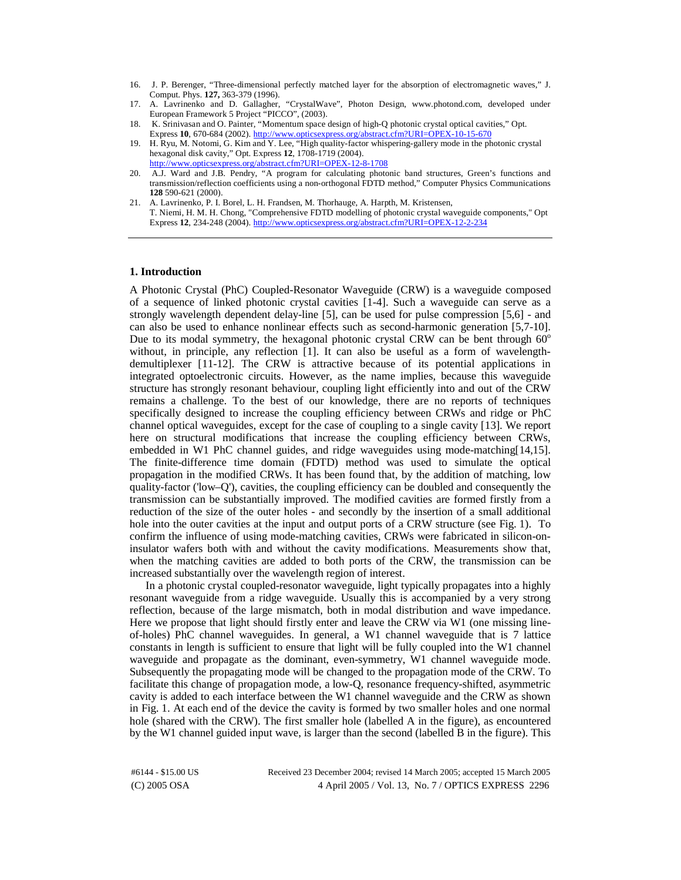- 16. J. P. Berenger, "Three-dimensional perfectly matched layer for the absorption of electromagnetic waves," J. Comput. Phys. **127,** 363-379 (1996).
- 17. A. Lavrinenko and D. Gallagher, "CrystalWave", Photon Design, www.photond.com, developed under European Framework 5 Project "PICCO", (2003).
- 18. K. Srinivasan and O. Painter, "Momentum space design of high-Q photonic crystal optical cavities," Opt. Express **10**, 670-684 (2002). <http://www.opticsexpress.org/abstract.cfm?URI=OPEX-10-15-670>
- 19. H. Ryu, M. Notomi, G. Kim and Y. Lee, "High quality-factor whispering-gallery mode in the photonic crystal hexagonal disk cavity," Opt. Express **12**, 1708-1719 (2004). <http://www.opticsexpress.org/abstract.cfm?URI=OPEX-12-8-1708>
- 20. A.J. Ward and J.B. Pendry, "A program for calculating photonic band structures, Green's functions and transmission/reflection coefficients using a non-orthogonal FDTD method," Computer Physics Communications **128** 590-621 (2000).
- 21. A. Lavrinenko, P. I. Borel, L. H. Frandsen, M. Thorhauge, A. Harpth, M. Kristensen, T. Niemi, H. M. H. Chong, "Comprehensive FDTD modelling of photonic crystal waveguide components," Opt Express **12**, 234-248 (2004). <http://www.opticsexpress.org/abstract.cfm?URI=OPEX-12-2-234>

#### **1. Introduction**

A Photonic Crystal (PhC) Coupled-Resonator Waveguide (CRW) is a waveguide composed of a sequence of linked photonic crystal cavities [1-4]. Such a waveguide can serve as a strongly wavelength dependent delay-line [5], can be used for pulse compression [5,6] - and can also be used to enhance nonlinear effects such as second-harmonic generation [5,7-10]. Due to its modal symmetry, the hexagonal photonic crystal CRW can be bent through  $60^{\circ}$ without, in principle, any reflection [1]. It can also be useful as a form of wavelengthdemultiplexer [11-12]. The CRW is attractive because of its potential applications in integrated optoelectronic circuits. However, as the name implies, because this waveguide structure has strongly resonant behaviour, coupling light efficiently into and out of the CRW remains a challenge. To the best of our knowledge, there are no reports of techniques specifically designed to increase the coupling efficiency between CRWs and ridge or PhC channel optical waveguides, except for the case of coupling to a single cavity [13]. We report here on structural modifications that increase the coupling efficiency between CRWs, embedded in W1 PhC channel guides, and ridge waveguides using mode-matching[14,15]. The finite-difference time domain (FDTD) method was used to simulate the optical propagation in the modified CRWs. It has been found that, by the addition of matching, low quality-factor ('low–Q'), cavities, the coupling efficiency can be doubled and consequently the transmission can be substantially improved. The modified cavities are formed firstly from a reduction of the size of the outer holes - and secondly by the insertion of a small additional hole into the outer cavities at the input and output ports of a CRW structure (see Fig. 1). To confirm the influence of using mode-matching cavities, CRWs were fabricated in silicon-oninsulator wafers both with and without the cavity modifications. Measurements show that, when the matching cavities are added to both ports of the CRW, the transmission can be increased substantially over the wavelength region of interest.

In a photonic crystal coupled-resonator waveguide, light typically propagates into a highly resonant waveguide from a ridge waveguide. Usually this is accompanied by a very strong reflection, because of the large mismatch, both in modal distribution and wave impedance. Here we propose that light should firstly enter and leave the CRW via W1 (one missing lineof-holes) PhC channel waveguides. In general, a W1 channel waveguide that is 7 lattice constants in length is sufficient to ensure that light will be fully coupled into the W1 channel waveguide and propagate as the dominant, even-symmetry, W1 channel waveguide mode. Subsequently the propagating mode will be changed to the propagation mode of the CRW. To facilitate this change of propagation mode, a low-Q, resonance frequency-shifted, asymmetric cavity is added to each interface between the W1 channel waveguide and the CRW as shown in Fig. 1. At each end of the device the cavity is formed by two smaller holes and one normal hole (shared with the CRW). The first smaller hole (labelled A in the figure), as encountered by the W1 channel guided input wave, is larger than the second (labelled B in the figure). This

(C) 2005 OSA 4 April 2005 / Vol. 13, No. 7 / OPTICS EXPRESS 2296 #6144 - \$15.00 US Received 23 December 2004; revised 14 March 2005; accepted 15 March 2005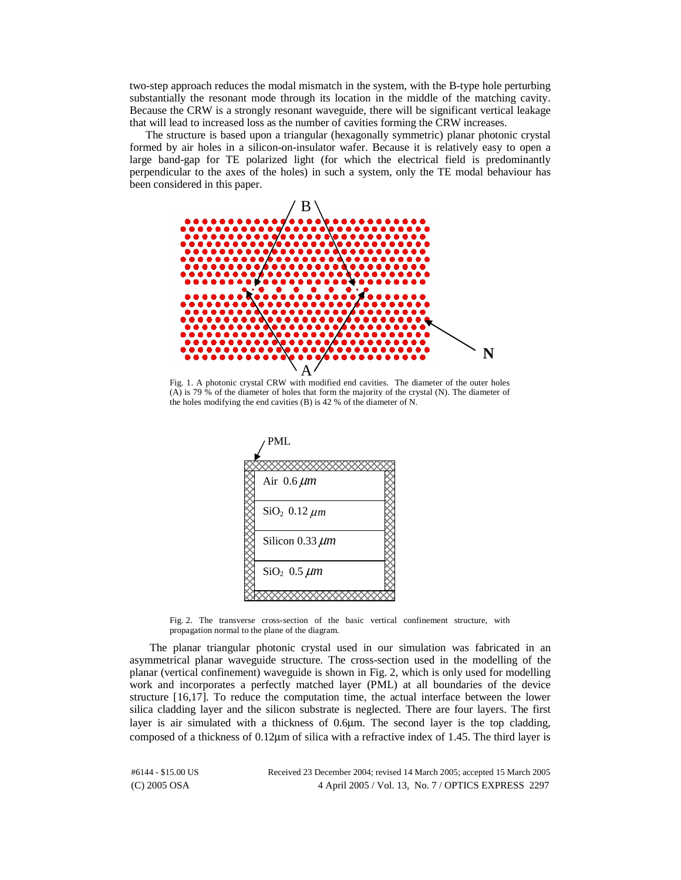two-step approach reduces the modal mismatch in the system, with the B-type hole perturbing substantially the resonant mode through its location in the middle of the matching cavity. Because the CRW is a strongly resonant waveguide, there will be significant vertical leakage that will lead to increased loss as the number of cavities forming the CRW increases.

The structure is based upon a triangular (hexagonally symmetric) planar photonic crystal formed by air holes in a silicon-on-insulator wafer. Because it is relatively easy to open a large band-gap for TE polarized light (for which the electrical field is predominantly perpendicular to the axes of the holes) in such a system, only the TE modal behaviour has been considered in this paper.



(A) is 79 % of the diameter of holes that form the majority of the crystal (N). The diameter of the holes modifying the end cavities (B) is 42 % of the diameter of N.



Fig. 2. The transverse cross-section of the basic vertical confinement structure, with propagation normal to the plane of the diagram.

The planar triangular photonic crystal used in our simulation was fabricated in an asymmetrical planar waveguide structure. The cross-section used in the modelling of the planar (vertical confinement) waveguide is shown in Fig. 2, which is only used for modelling work and incorporates a perfectly matched layer (PML) at all boundaries of the device structure [16,17]. To reduce the computation time, the actual interface between the lower silica cladding layer and the silicon substrate is neglected. There are four layers. The first layer is air simulated with a thickness of 0.6µm. The second layer is the top cladding, composed of a thickness of 0.12µm of silica with a refractive index of 1.45. The third layer is

(C) 2005 OSA 4 April 2005 / Vol. 13, No. 7 / OPTICS EXPRESS 2297 #6144 - \$15.00 US Received 23 December 2004; revised 14 March 2005; accepted 15 March 2005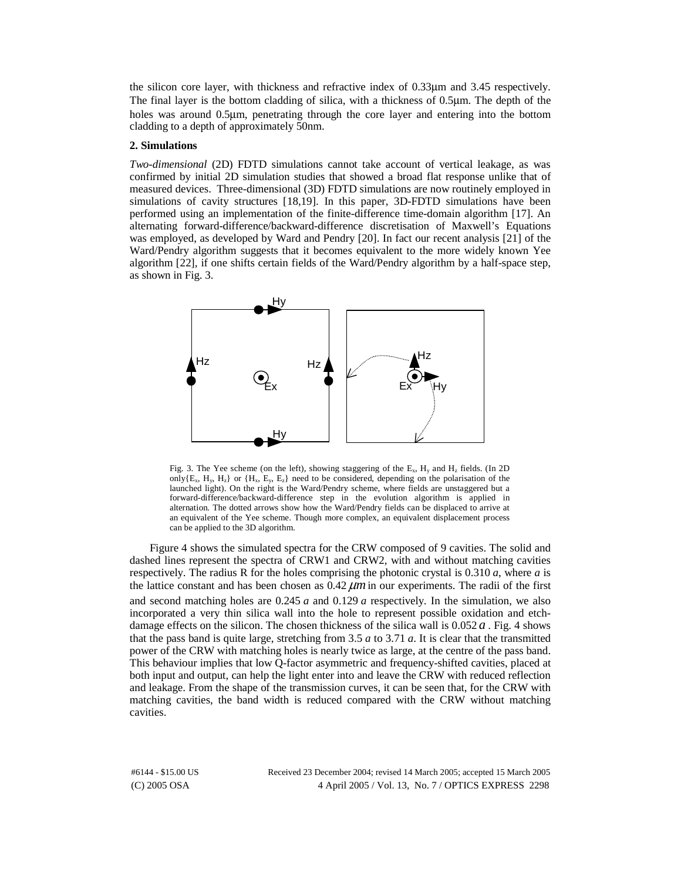the silicon core layer, with thickness and refractive index of 0.33µm and 3.45 respectively. The final layer is the bottom cladding of silica, with a thickness of 0.5µm. The depth of the holes was around 0.5µm, penetrating through the core layer and entering into the bottom cladding to a depth of approximately 50nm.

### **2. Simulations**

*Two-dimensional* (2D) FDTD simulations cannot take account of vertical leakage, as was confirmed by initial 2D simulation studies that showed a broad flat response unlike that of measured devices. Three-dimensional (3D) FDTD simulations are now routinely employed in simulations of cavity structures [18,19]. In this paper, 3D-FDTD simulations have been performed using an implementation of the finite-difference time-domain algorithm [17]. An alternating forward-difference/backward-difference discretisation of Maxwell's Equations was employed, as developed by Ward and Pendry [20]. In fact our recent analysis [21] of the Ward/Pendry algorithm suggests that it becomes equivalent to the more widely known Yee algorithm [22], if one shifts certain fields of the Ward/Pendry algorithm by a half-space step, as shown in Fig. 3.



Fig. 3. The Yee scheme (on the left), showing staggering of the  $E_x$ ,  $H_y$  and  $H_z$  fields. (In 2D only $\{E_x, H_y, H_z\}$  or  $\{H_x, E_y, E_z\}$  need to be considered, depending on the polarisation of the launched light). On the right is the Ward/Pendry scheme, where fields are unstaggered but a forward-difference/backward-difference step in the evolution algorithm is applied in alternation. The dotted arrows show how the Ward/Pendry fields can be displaced to arrive at an equivalent of the Yee scheme. Though more complex, an equivalent displacement process can be applied to the 3D algorithm.

Figure 4 shows the simulated spectra for the CRW composed of 9 cavities. The solid and dashed lines represent the spectra of CRW1 and CRW2, with and without matching cavities respectively. The radius R for the holes comprising the photonic crystal is 0.310 *a*, where *a* is the lattice constant and has been chosen as  $0.42 \mu m$  in our experiments. The radii of the first and second matching holes are 0.245 *a* and 0.129 *a* respectively. In the simulation, we also incorporated a very thin silica wall into the hole to represent possible oxidation and etchdamage effects on the silicon. The chosen thickness of the silica wall is  $0.052a$ . Fig. 4 shows that the pass band is quite large, stretching from 3.5 *a* to 3.71 *a*. It is clear that the transmitted power of the CRW with matching holes is nearly twice as large, at the centre of the pass band. This behaviour implies that low Q-factor asymmetric and frequency-shifted cavities, placed at both input and output, can help the light enter into and leave the CRW with reduced reflection and leakage. From the shape of the transmission curves, it can be seen that, for the CRW with matching cavities, the band width is reduced compared with the CRW without matching cavities.

(C) 2005 OSA 4 April 2005 / Vol. 13, No. 7 / OPTICS EXPRESS 2298 #6144 - \$15.00 US Received 23 December 2004; revised 14 March 2005; accepted 15 March 2005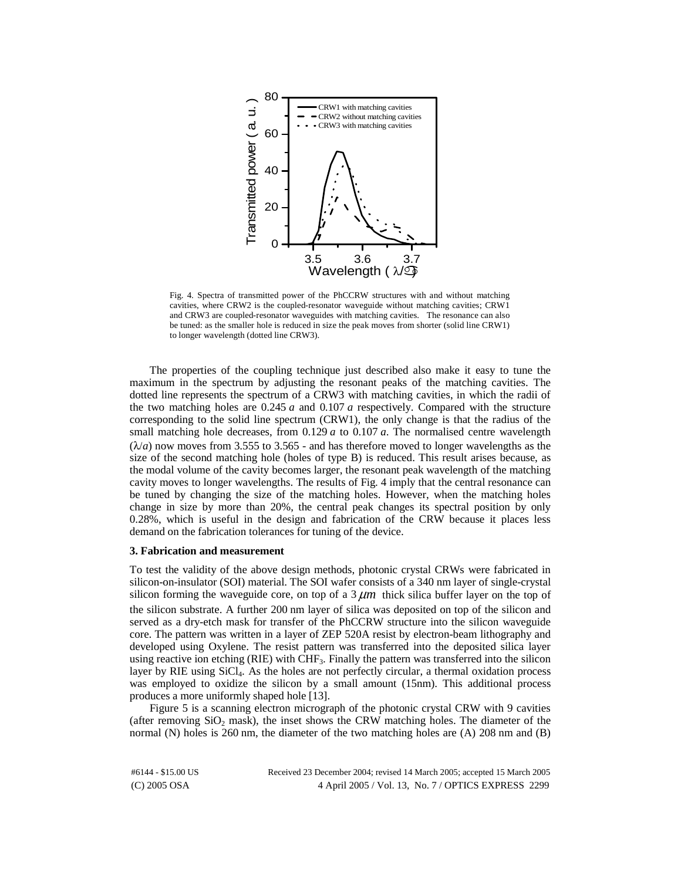

Fig. 4. Spectra of transmitted power of the PhCCRW structures with and without matching cavities, where CRW2 is the coupled-resonator waveguide without matching cavities; CRW1 and CRW3 are coupled-resonator waveguides with matching cavities. The resonance can also be tuned: as the smaller hole is reduced in size the peak moves from shorter (solid line CRW1) to longer wavelength (dotted line CRW3).

The properties of the coupling technique just described also make it easy to tune the maximum in the spectrum by adjusting the resonant peaks of the matching cavities. The dotted line represents the spectrum of a CRW3 with matching cavities, in which the radii of the two matching holes are 0.245 *a* and 0.107 *a* respectively. Compared with the structure corresponding to the solid line spectrum (CRW1), the only change is that the radius of the small matching hole decreases, from 0.129 *a* to 0.107 *a*. The normalised centre wavelength  $(\lambda/a)$  now moves from 3.555 to 3.565 - and has therefore moved to longer wavelengths as the size of the second matching hole (holes of type B) is reduced. This result arises because, as the modal volume of the cavity becomes larger, the resonant peak wavelength of the matching cavity moves to longer wavelengths. The results of Fig. 4 imply that the central resonance can be tuned by changing the size of the matching holes. However, when the matching holes change in size by more than 20%, the central peak changes its spectral position by only 0.28%, which is useful in the design and fabrication of the CRW because it places less demand on the fabrication tolerances for tuning of the device.

#### **3. Fabrication and measurement**

To test the validity of the above design methods, photonic crystal CRWs were fabricated in silicon-on-insulator (SOI) material. The SOI wafer consists of a 340 nm layer of single-crystal silicon forming the waveguide core, on top of a  $3 \mu m$  thick silica buffer layer on the top of the silicon substrate. A further 200 nm layer of silica was deposited on top of the silicon and served as a dry-etch mask for transfer of the PhCCRW structure into the silicon waveguide core. The pattern was written in a layer of ZEP 520A resist by electron-beam lithography and developed using Oxylene. The resist pattern was transferred into the deposited silica layer using reactive ion etching (RIE) with CHF<sub>3</sub>. Finally the pattern was transferred into the silicon layer by RIE using  $SiCl<sub>4</sub>$ . As the holes are not perfectly circular, a thermal oxidation process was employed to oxidize the silicon by a small amount (15nm). This additional process produces a more uniformly shaped hole [13].

Figure 5 is a scanning electron micrograph of the photonic crystal CRW with 9 cavities (after removing  $SiO<sub>2</sub>$  mask), the inset shows the CRW matching holes. The diameter of the normal (N) holes is 260 nm, the diameter of the two matching holes are (A) 208 nm and (B)

(C) 2005 OSA 4 April 2005 / Vol. 13, No. 7 / OPTICS EXPRESS 2299 #6144 - \$15.00 US Received 23 December 2004; revised 14 March 2005; accepted 15 March 2005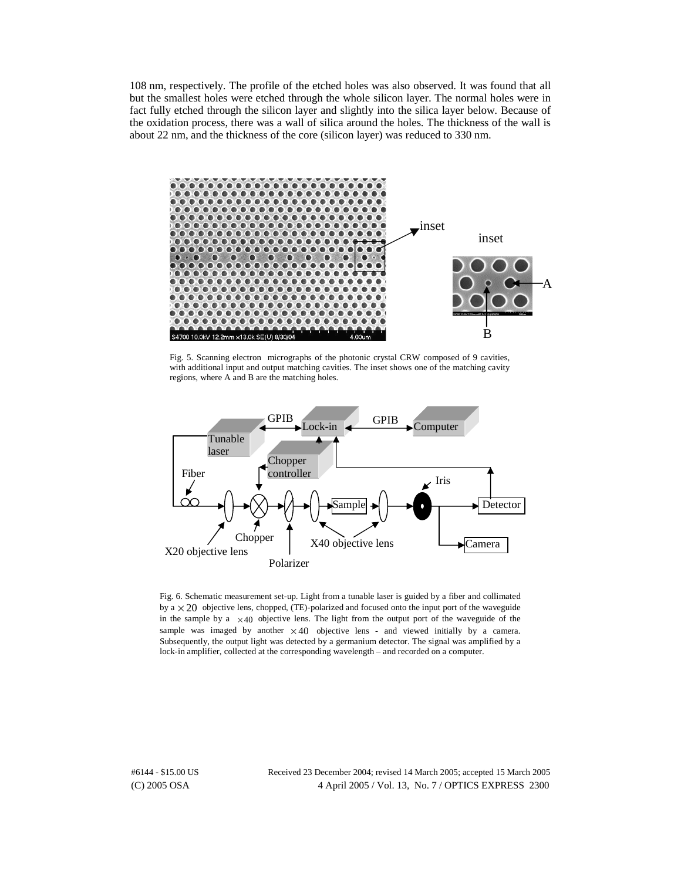108 nm, respectively. The profile of the etched holes was also observed. It was found that all but the smallest holes were etched through the whole silicon layer. The normal holes were in fact fully etched through the silicon layer and slightly into the silica layer below. Because of the oxidation process, there was a wall of silica around the holes. The thickness of the wall is about 22 nm, and the thickness of the core (silicon layer) was reduced to 330 nm.



Fig. 5. Scanning electron micrographs of the photonic crystal CRW composed of 9 cavities, with additional input and output matching cavities. The inset shows one of the matching cavity regions, where A and B are the matching holes.



Fig. 6. Schematic measurement set-up. Light from a tunable laser is guided by a fiber and collimated by a  $\times$  20 objective lens, chopped, (TE)-polarized and focused onto the input port of the waveguide in the sample by a  $\times$  40 objective lens. The light from the output port of the waveguide of the sample was imaged by another  $\times$  40 objective lens - and viewed initially by a camera. Subsequently, the output light was detected by a germanium detector. The signal was amplified by a lock-in amplifier, collected at the corresponding wavelength – and recorded on a computer.

(C) 2005 OSA 4 April 2005 / Vol. 13, No. 7 / OPTICS EXPRESS 2300 #6144 - \$15.00 US Received 23 December 2004; revised 14 March 2005; accepted 15 March 2005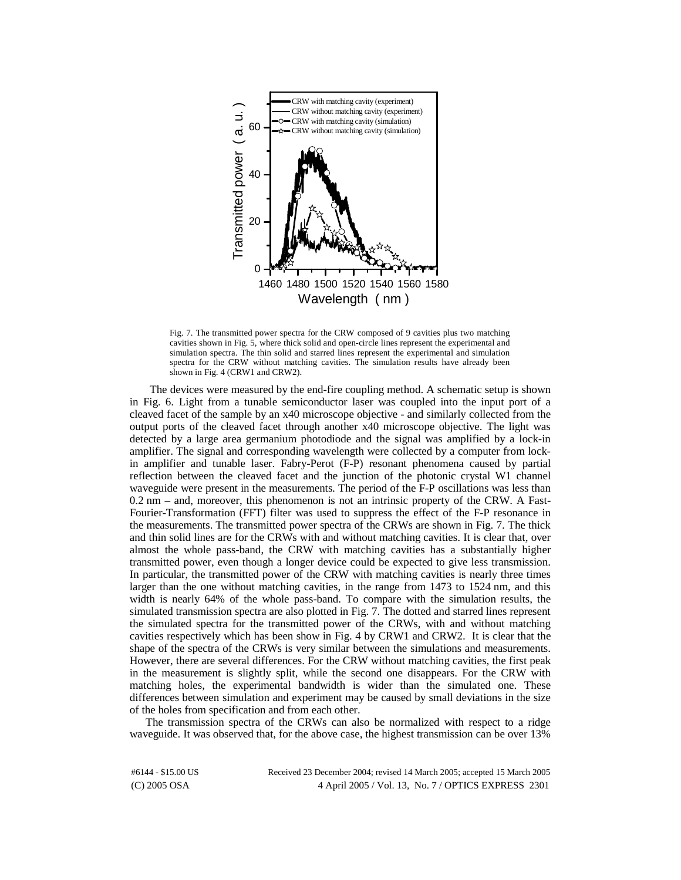

Fig. 7. The transmitted power spectra for the CRW composed of 9 cavities plus two matching cavities shown in Fig. 5, where thick solid and open-circle lines represent the experimental and simulation spectra. The thin solid and starred lines represent the experimental and simulation spectra for the CRW without matching cavities. The simulation results have already been shown in Fig. 4 (CRW1 and CRW2).

The devices were measured by the end-fire coupling method. A schematic setup is shown in Fig. 6. Light from a tunable semiconductor laser was coupled into the input port of a cleaved facet of the sample by an x40 microscope objective - and similarly collected from the output ports of the cleaved facet through another x40 microscope objective. The light was detected by a large area germanium photodiode and the signal was amplified by a lock-in amplifier. The signal and corresponding wavelength were collected by a computer from lockin amplifier and tunable laser. Fabry-Perot (F-P) resonant phenomena caused by partial reflection between the cleaved facet and the junction of the photonic crystal W1 channel waveguide were present in the measurements. The period of the F-P oscillations was less than 0.2 nm – and, moreover, this phenomenon is not an intrinsic property of the CRW. A Fast-Fourier-Transformation (FFT) filter was used to suppress the effect of the F-P resonance in the measurements. The transmitted power spectra of the CRWs are shown in Fig. 7. The thick and thin solid lines are for the CRWs with and without matching cavities. It is clear that, over almost the whole pass-band, the CRW with matching cavities has a substantially higher transmitted power, even though a longer device could be expected to give less transmission. In particular, the transmitted power of the CRW with matching cavities is nearly three times larger than the one without matching cavities, in the range from 1473 to 1524 nm, and this width is nearly 64% of the whole pass-band. To compare with the simulation results, the simulated transmission spectra are also plotted in Fig. 7. The dotted and starred lines represent the simulated spectra for the transmitted power of the CRWs, with and without matching cavities respectively which has been show in Fig. 4 by CRW1 and CRW2. It is clear that the shape of the spectra of the CRWs is very similar between the simulations and measurements. However, there are several differences. For the CRW without matching cavities, the first peak in the measurement is slightly split, while the second one disappears. For the CRW with matching holes, the experimental bandwidth is wider than the simulated one. These differences between simulation and experiment may be caused by small deviations in the size of the holes from specification and from each other.

The transmission spectra of the CRWs can also be normalized with respect to a ridge waveguide. It was observed that, for the above case, the highest transmission can be over 13%

(C) 2005 OSA 4 April 2005 / Vol. 13, No. 7 / OPTICS EXPRESS 2301 #6144 - \$15.00 US Received 23 December 2004; revised 14 March 2005; accepted 15 March 2005